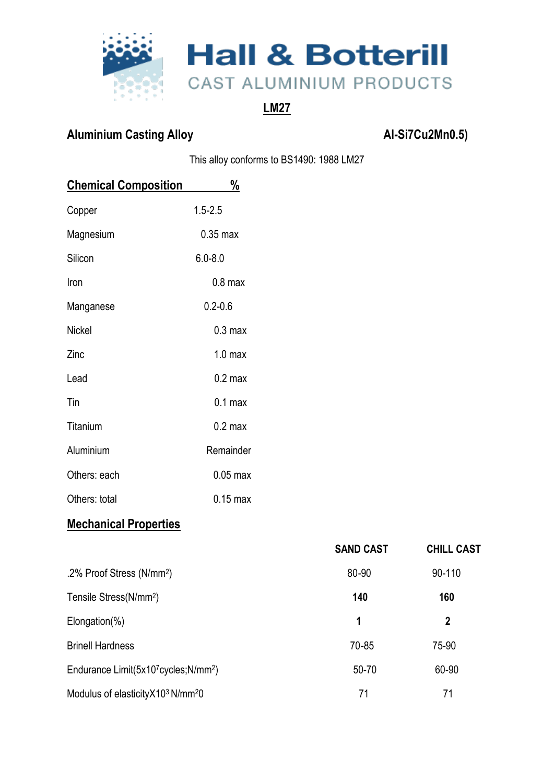

# **LM27**

# Aluminium Casting Alloy **Aluminium Casting Alloy Al-Si7Cu2Mn0.5**)

This alloy conforms to BS1490: 1988 LM27

| <b>Chemical Composition</b> | $\frac{0}{0}$      |  |
|-----------------------------|--------------------|--|
| Copper                      | $1.5 - 2.5$        |  |
| Magnesium                   | $0.35$ max         |  |
| Silicon                     | $6.0 - 8.0$        |  |
| Iron                        | $0.8$ max          |  |
| Manganese                   | $0.2 - 0.6$        |  |
| <b>Nickel</b>               | 0.3 <sub>max</sub> |  |
| Zinc                        | 1.0 <sub>max</sub> |  |
| Lead                        | 0.2 <sub>max</sub> |  |
| Tin                         | 0.1 <sub>max</sub> |  |
| Titanium                    | $0.2 \text{ max}$  |  |
| Aluminium                   | Remainder          |  |
| Others: each                | $0.05$ max         |  |
| Others: total               | $0.15$ max         |  |

# **Mechanical Properties**

|                                                 | <b>SAND CAST</b> | <b>CHILL CAST</b> |
|-------------------------------------------------|------------------|-------------------|
| .2% Proof Stress (N/mm <sup>2</sup> )           | 80-90            | 90-110            |
| Tensile Stress(N/mm <sup>2</sup> )              | 140              | 160               |
| $Elongation(\% )$                               | 1                | 2                 |
| <b>Brinell Hardness</b>                         | 70-85            | 75-90             |
| Endurance Limit(5x107cycles;N/mm <sup>2</sup> ) | 50-70            | 60-90             |
| Modulus of elasticity X103 N/mm <sup>2</sup> 0  | 71               | 71                |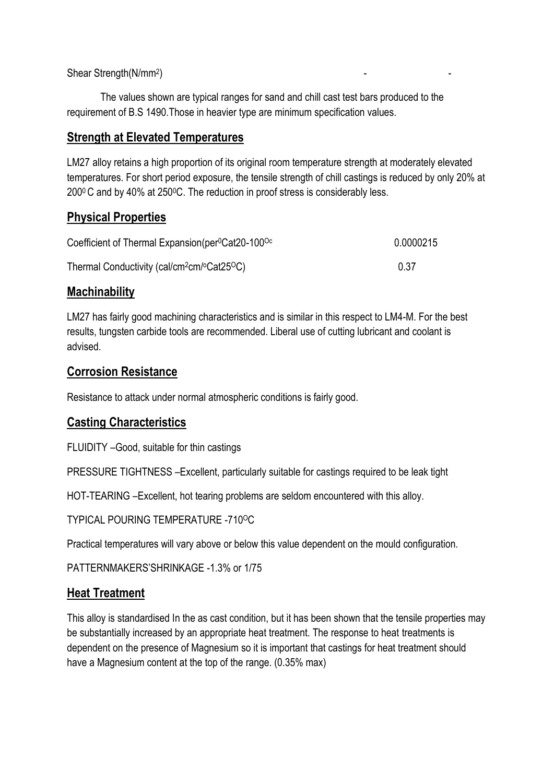Shear Strength(N/mm<sup>2</sup> ) and the set of the set of the set of the set of the set of the set of the set of the set of the set of the set of the set of the set of the set of the set of the set of the set of the set of the set of the set of the se

The values shown are typical ranges for sand and chill cast test bars produced to the requirement of B.S 1490.Those in heavier type are minimum specification values.

## **Strength at Elevated Temperatures**

LM27 alloy retains a high proportion of its original room temperature strength at moderately elevated temperatures. For short period exposure, the tensile strength of chill castings is reduced by only 20% at 2000 C and by 40% at 2500C. The reduction in proof stress is considerably less.

### **Physical Properties**

| Coefficient of Thermal Expansion(per <sup>o</sup> Cat20-100 <sup>oc</sup> | 0.0000215 |
|---------------------------------------------------------------------------|-----------|
| Thermal Conductivity (cal/cm <sup>2</sup> cm/°Cat25°C)                    | 0.37      |

### **Machinability**

LM27 has fairly good machining characteristics and is similar in this respect to LM4-M. For the best results, tungsten carbide tools are recommended. Liberal use of cutting lubricant and coolant is advised.

### **Corrosion Resistance**

Resistance to attack under normal atmospheric conditions is fairly good.

### **Casting Characteristics**

FLUIDITY –Good, suitable for thin castings

PRESSURE TIGHTNESS –Excellent, particularly suitable for castings required to be leak tight

HOT-TEARING –Excellent, hot tearing problems are seldom encountered with this alloy.

TYPICAL POURING TEMPERATURE -710OC

Practical temperatures will vary above or below this value dependent on the mould configuration.

PATTERNMAKERS'SHRINKAGE -1.3% or 1/75

### **Heat Treatment**

This alloy is standardised In the as cast condition, but it has been shown that the tensile properties may be substantially increased by an appropriate heat treatment. The response to heat treatments is dependent on the presence of Magnesium so it is important that castings for heat treatment should have a Magnesium content at the top of the range. (0.35% max)